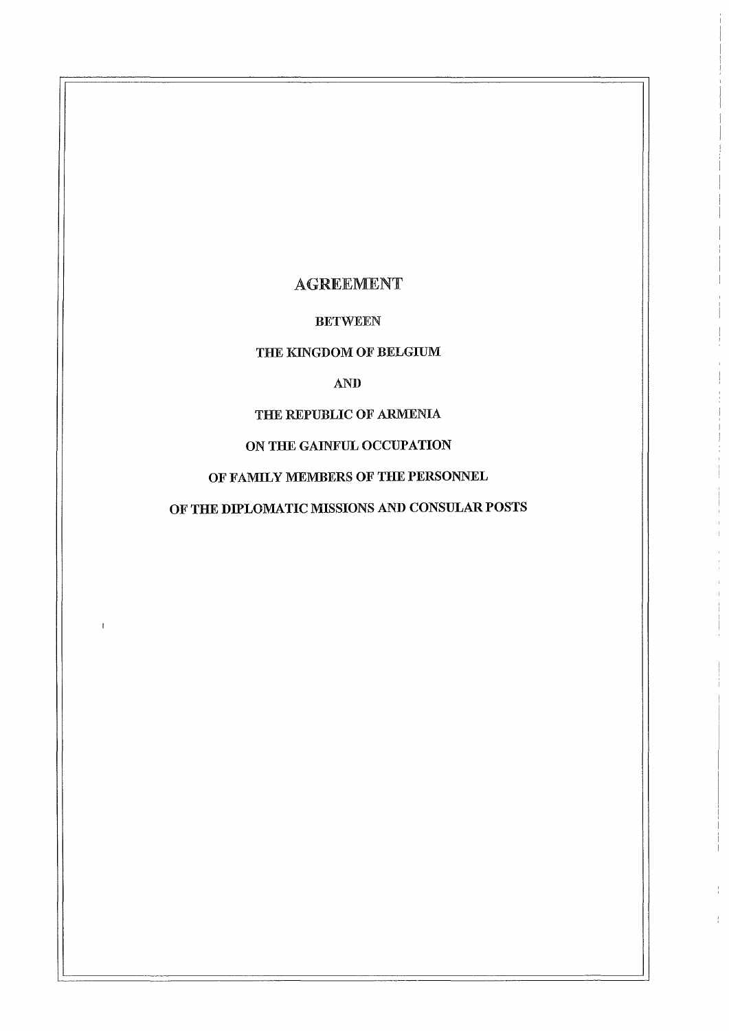# AGREEMENT

# BETWEEN

# THE KINGDOM OF BELGIUM

# AND

# THE REPUBLIC OF ARMENIA

# ON THE GAINFUL OCCUPATION

# OF FAMILY MEMBERS OF THE PERSONNEL

# OF THE DIPLOMATIC MISSlONS AND CONSULAR POSTS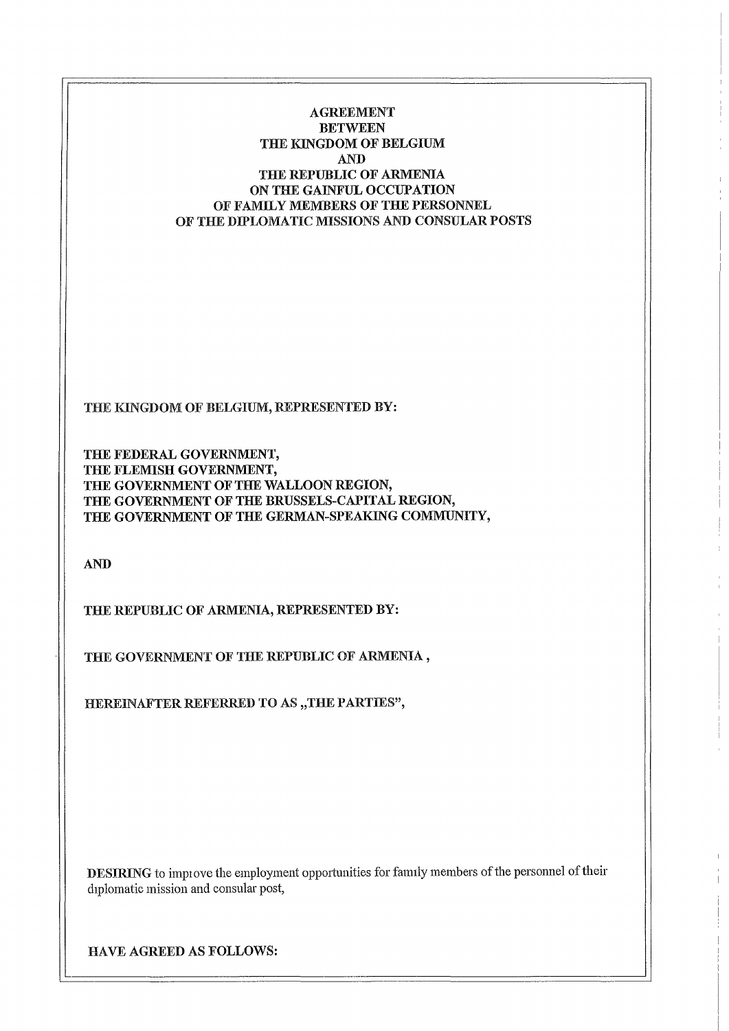AGREEMENT BETWEEN THE RINGDOM OF BELGruM AND THE REPUBLIC OF ARMENIA ON THE GAINFUL OCCUPATION OF FAMILY MEMBERS OF THE PERSONNEL OF THE DIPLOMATIC MISSlONS AND CONSULAR POSTS

THE KINGDOM OF BELGIUM, REPRESENTED BY:

THE FEDERAL GOVERNMENT, THE FLEMISH GOVERNMENT, THE GOVERNMENT OF THE WALLOON REGION, THE GOVERNMENT OF THE BRUSSELS-CAPITAL REGION, THE GOVERNMENT OF THE GERMAN-SPEAKING COMMUNITY,

AND

THE REPUBLIC OF ARMENIA, REPRESENTED BY:

THE GOVERNMENT OF THE REPUBLIC OF ARMENIA,

HEREINAFTER REFERRED TO AS "THE PARTIES",

DESIRING to improve the employment opportunities for family members of the personnel of their diplomatic mission and consular post,

HAVE AGREED AS FOLLOWS: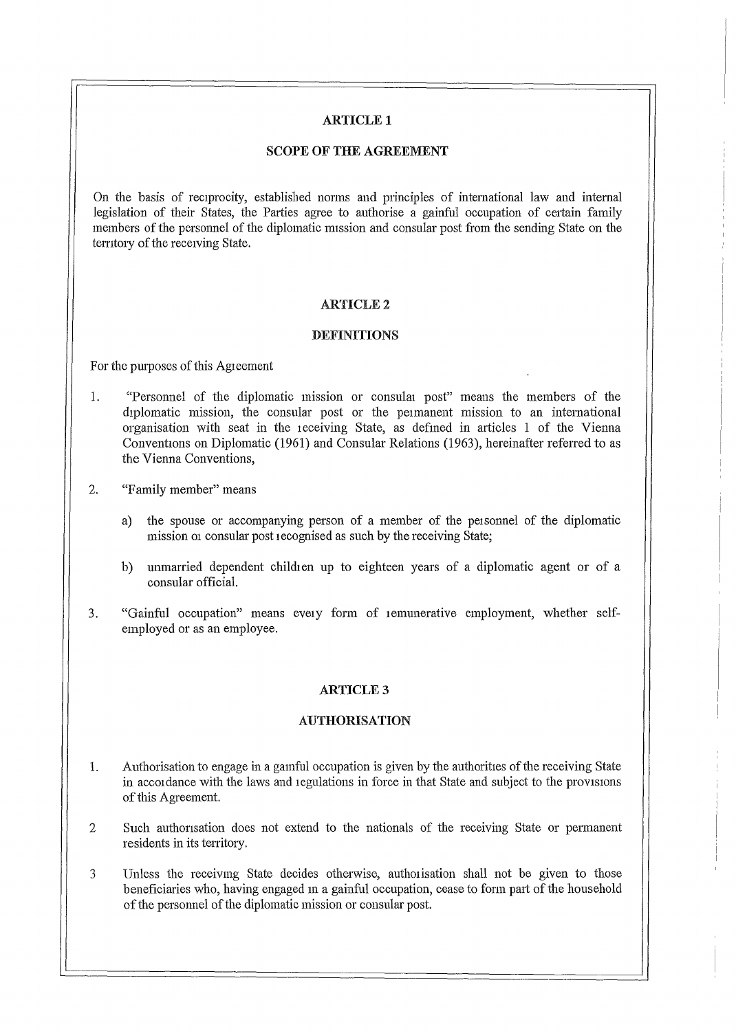# **ARTICLEl**

### SCOPE OF THE AGREEMENT

On the basis of reciprocity, established norms and principles of international law and internal legislation of their States, the Parties agree to authorise a gainful occupation of certain family members of the persounel of the diplomatic mission and consular post from the sending State on the territory of the receiving State.

### **ARTICLE 2**

### DEFINITIONS

For the purposes of this Agreement

- 1. "Personnel of the diplomatic mission or consular post" means the members of the diplomatic mission, the consular post or the peimanent mission to an international organisation with seat in the teceiving State, as defmed in articles 1 of the Vienna Conventions on Diplomatic (1961) and Consular Relations (1963), hereinafter referred to as the Vienna Conventions,
- 2. "Family member" means
	- a) the spouse or accompanying person of a member of the personnel of the diplomatic mission or consular post recognised as such by the receiving State;
	- b) unmarried dependent children up to eighteen years of a diplomatic agent or of a consular official.
- 3. "Gainful occupation" means evety form of temunerative employment, whether selfemployed or as an employee.

### **ARTICLE 3**

### AUTHORISATION

- 1. Authorisation to engage in a gamful occupation is given by the authorities of the receiving State in accordance with the laws and regulations in force in that State and subject to the provisions of this Agreement.
- 2 Such authorisation does not extend to the nationals of the receiving State or permanent residents in its territory.
- 3 Unless the receiving State decides otherwise, authorisation shall not be given to those beneficiaries who, having engaged in a gainful occupation, cease to form part of the household of the persmmel of the diplomatic mission or consular post.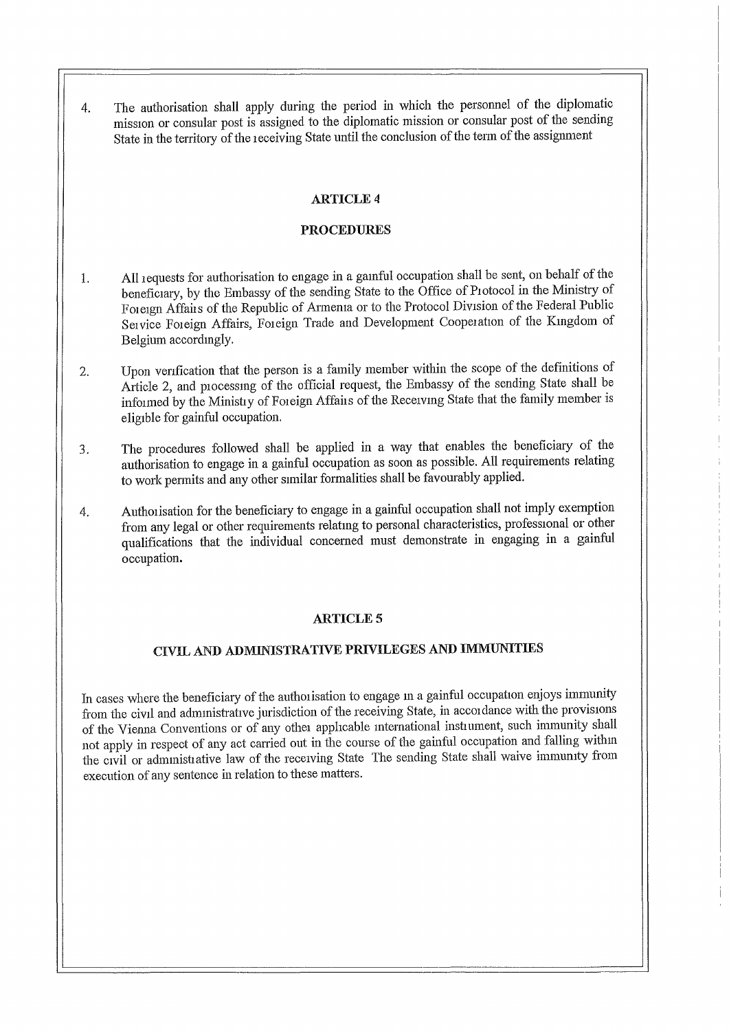The authorisation shall apply during the period in which the personnel of the diplomatic  $\mathbf{A}_{\cdot}$ mission or consular post is assigned to the diplomatic mission or consular post of the sending State in the territory of the receiving State until the conclusion of the term of the assignment

# **ARTICLE 4**

### **PROCEDURES**

- All requests for authorisation to engage in a gainful occupation shall be sent, on behalf of the 1. beneficiary, by the Embassy of the sending State to the Office of Protocol in the Ministry of Foreign Affairs of the Republic of Armenia or to the Protocol Division of the Federal Public Service Foreign Affairs, Foreign Trade and Development Cooperation of the Kingdom of Belgium accordingly.
- Upon verification that the person is a family member within the scope of the definitions of 2. Article 2, and processing of the official request, the Embassy of the sending State shall be informed by the Ministry of Foreign Affairs of the Receiving State that the family member is eligible for gainful occupation.
- The procedures followed shall be applied in a way that enables the beneficiary of the 3. authorisation to engage in a gainful occupation as soon as possible. All requirements relating to work permits and any other similar formalities shall be favourably applied.
- Authorisation for the beneficiary to engage in a gainful occupation shall not imply exemption 4. from any legal or other requirements relating to personal characteristics, professional or other qualifications that the individual concerned must demonstrate in engaging in a gainful occupation.

### **ARTICLE 5**

# CIVIL AND ADMINISTRATIVE PRIVILEGES AND IMMUNITIES

In cases where the beneficiary of the authorisation to engage in a gainful occupation enjoys immunity from the civil and administrative jurisdiction of the receiving State, in accordance with the provisions of the Vienna Conventions or of any other applicable international instrument, such immunity shall not apply in respect of any act carried out in the course of the gainful occupation and falling within the civil or administrative law of the receiving State The sending State shall waive immunity from execution of any sentence in relation to these matters.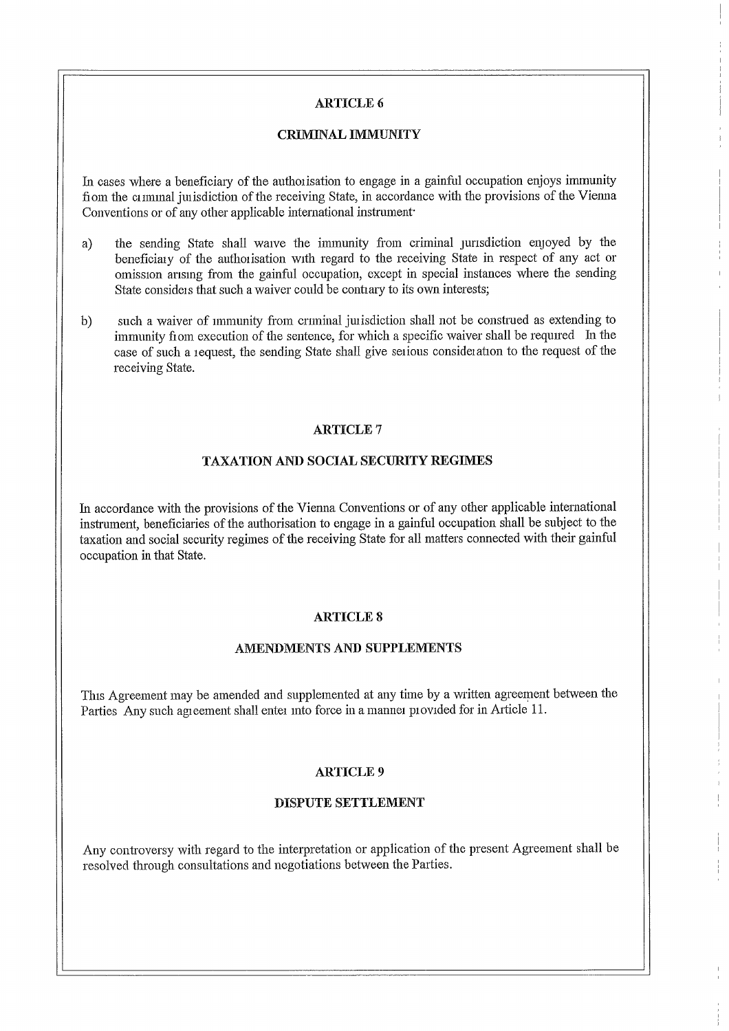### **ARTICLE 6**

#### **CRIMINAL IMMUNITY**

In cases where a beneficiary of the authorisation to engage in a gainful occupation enjoys immunity from the criminal jurisdiction of the receiving State, in accordance with the provisions of the Vienna Conventions or of any other applicable international instrument

- the sending State shall waive the immunity from criminal jurisdiction enjoyed by the a) beneficiary of the authorisation with regard to the receiving State in respect of any act or omission arising from the gainful occupation, except in special instances where the sending State considers that such a waiver could be contrary to its own interests;
- such a waiver of immunity from criminal jurisdiction shall not be construed as extending to  $b)$ immunity from execution of the sentence, for which a specific waiver shall be required In the case of such a request, the sending State shall give serious consideration to the request of the receiving State.

### **ARTICLE 7**

### **TAXATION AND SOCIAL SECURITY REGIMES**

In accordance with the provisions of the Vienna Conventions or of any other applicable international instrument, beneficiaries of the authorisation to engage in a gainful occupation shall be subject to the taxation and social security regimes of the receiving State for all matters connected with their gainful occupation in that State.

### **ARTICLE 8**

### AMENDMENTS AND SUPPLEMENTS

This Agreement may be amended and supplemented at any time by a written agreement between the Parties Any such agreement shall enter into force in a manner provided for in Article 11.

### **ARTICLE 9**

#### **DISPUTE SETTLEMENT**

Any controversy with regard to the interpretation or application of the present Agreement shall be resolved through consultations and negotiations between the Parties.